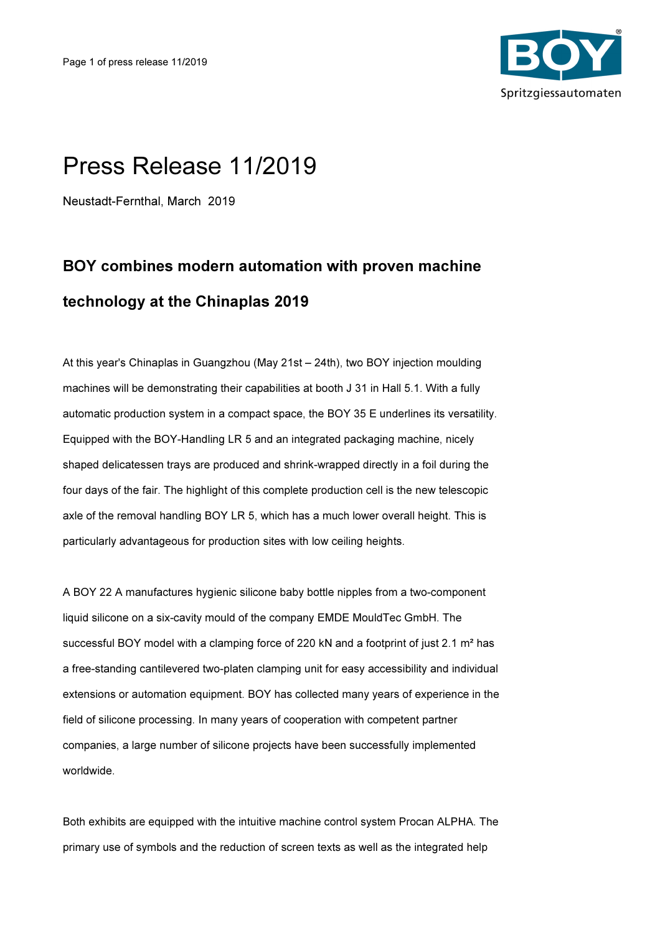

## Press Release 11/2019

Neustadt-Fernthal, March 2019

## BOY combines modern automation with proven machine technology at the Chinaplas 2019

At this year's Chinaplas in Guangzhou (May 21st – 24th), two BOY injection moulding machines will be demonstrating their capabilities at booth J 31 in Hall 5.1. With a fully automatic production system in a compact space, the BOY 35 E underlines its versatility. Equipped with the BOY-Handling LR 5 and an integrated packaging machine, nicely shaped delicatessen trays are produced and shrink-wrapped directly in a foil during the four days of the fair. The highlight of this complete production cell is the new telescopic axle of the removal handling BOY LR 5, which has a much lower overall height. This is particularly advantageous for production sites with low ceiling heights.

A BOY 22 A manufactures hygienic silicone baby bottle nipples from a two-component liquid silicone on a six-cavity mould of the company EMDE MouldTec GmbH. The successful BOY model with a clamping force of 220 kN and a footprint of just 2.1  $m<sup>2</sup>$  has a free-standing cantilevered two-platen clamping unit for easy accessibility and individual extensions or automation equipment. BOY has collected many years of experience in the field of silicone processing. In many years of cooperation with competent partner companies, a large number of silicone projects have been successfully implemented worldwide.

Both exhibits are equipped with the intuitive machine control system Procan ALPHA. The primary use of symbols and the reduction of screen texts as well as the integrated help